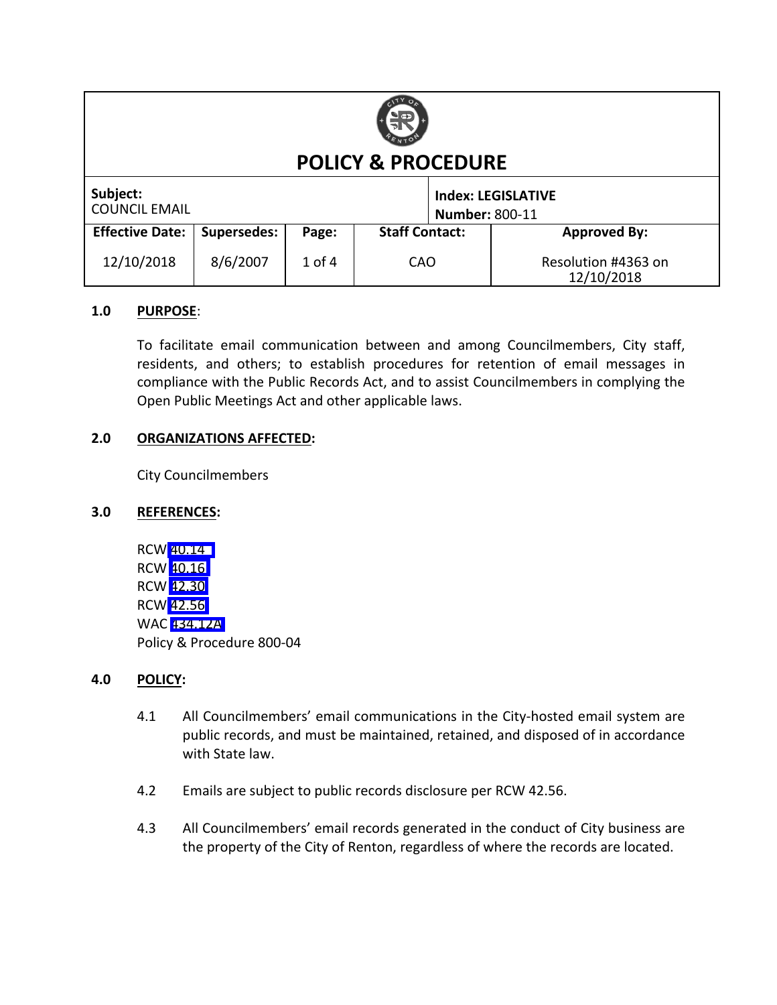| <b>POLICY &amp; PROCEDURE</b>    |                    |            |                       |                                                    |                                   |
|----------------------------------|--------------------|------------|-----------------------|----------------------------------------------------|-----------------------------------|
| Subject:<br><b>COUNCIL EMAIL</b> |                    |            |                       | <b>Index: LEGISLATIVE</b><br><b>Number: 800-11</b> |                                   |
| <b>Effective Date:</b>           | <b>Supersedes:</b> | Page:      | <b>Staff Contact:</b> |                                                    | <b>Approved By:</b>               |
| 12/10/2018                       | 8/6/2007           | $1$ of $4$ | CAO                   |                                                    | Resolution #4363 on<br>12/10/2018 |

### **1.0 PURPOSE**:

To facilitate email communication between and among Councilmembers, City staff, residents, and others; to establish procedures for retention of email messages in compliance with the Public Records Act, and to assist Councilmembers in complying the Open Public Meetings Act and other applicable laws.

### **2.0 ORGANIZATIONS AFFECTED:**

City Councilmembers

### **3.0 REFERENCES:**

RCW [40.14](http://app.leg.wa.gov/RCW/default.aspx?cite=40.14) RCW [40.16](http://app.leg.wa.gov/RCW/default.aspx?cite=40.16) RCW [42.30](http://app.leg.wa.gov/RCW/default.aspx?cite=42.30) RCW [42.56](http://apps.leg.wa.gov/RCW/default.aspx?cite=42.56) WAC [434.12A](http://apps.leg.wa.gov/wac/default.aspx?cite=434-12A) Policy & Procedure 800‐04

### **4.0 POLICY:**

- 4.1 All Councilmembers' email communications in the City-hosted email system are public records, and must be maintained, retained, and disposed of in accordance with State law.
- 4.2 Emails are subject to public records disclosure per RCW 42.56.
- 4.3 All Councilmembers' email records generated in the conduct of City business are the property of the City of Renton, regardless of where the records are located.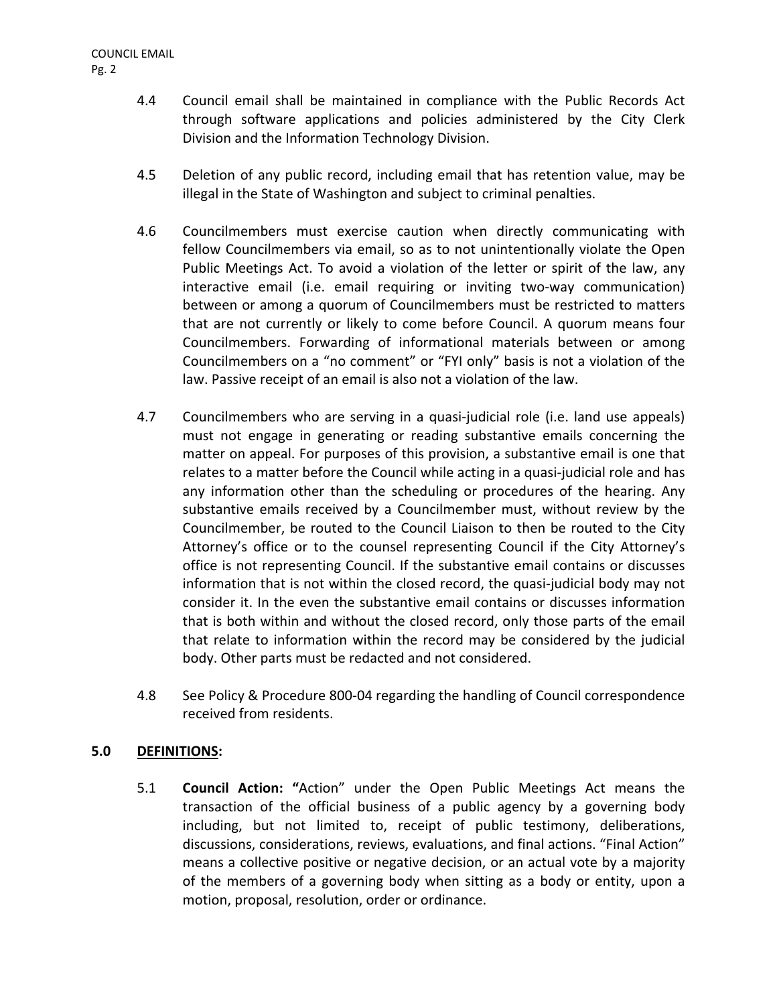- 4.4 Council email shall be maintained in compliance with the Public Records Act through software applications and policies administered by the City Clerk Division and the Information Technology Division.
- 4.5 Deletion of any public record, including email that has retention value, may be illegal in the State of Washington and subject to criminal penalties.
- 4.6 Councilmembers must exercise caution when directly communicating with fellow Councilmembers via email, so as to not unintentionally violate the Open Public Meetings Act. To avoid a violation of the letter or spirit of the law, any interactive email (i.e. email requiring or inviting two-way communication) between or among a quorum of Councilmembers must be restricted to matters that are not currently or likely to come before Council. A quorum means four Councilmembers. Forwarding of informational materials between or among Councilmembers on a "no comment" or "FYI only" basis is not a violation of the law. Passive receipt of an email is also not a violation of the law.
- 4.7 Councilmembers who are serving in a quasi-judicial role (i.e. land use appeals) must not engage in generating or reading substantive emails concerning the matter on appeal. For purposes of this provision, a substantive email is one that relates to a matter before the Council while acting in a quasi-judicial role and has any information other than the scheduling or procedures of the hearing. Any substantive emails received by a Councilmember must, without review by the Councilmember, be routed to the Council Liaison to then be routed to the City Attorney's office or to the counsel representing Council if the City Attorney's office is not representing Council. If the substantive email contains or discusses information that is not within the closed record, the quasi-judicial body may not consider it. In the even the substantive email contains or discusses information that is both within and without the closed record, only those parts of the email that relate to information within the record may be considered by the judicial body. Other parts must be redacted and not considered.
- 4.8 See Policy & Procedure 800‐04 regarding the handling of Council correspondence received from residents.

# **5.0 DEFINITIONS:**

5.1 **Council Action: "**Action" under the Open Public Meetings Act means the transaction of the official business of a public agency by a governing body including, but not limited to, receipt of public testimony, deliberations, discussions, considerations, reviews, evaluations, and final actions. "Final Action" means a collective positive or negative decision, or an actual vote by a majority of the members of a governing body when sitting as a body or entity, upon a motion, proposal, resolution, order or ordinance.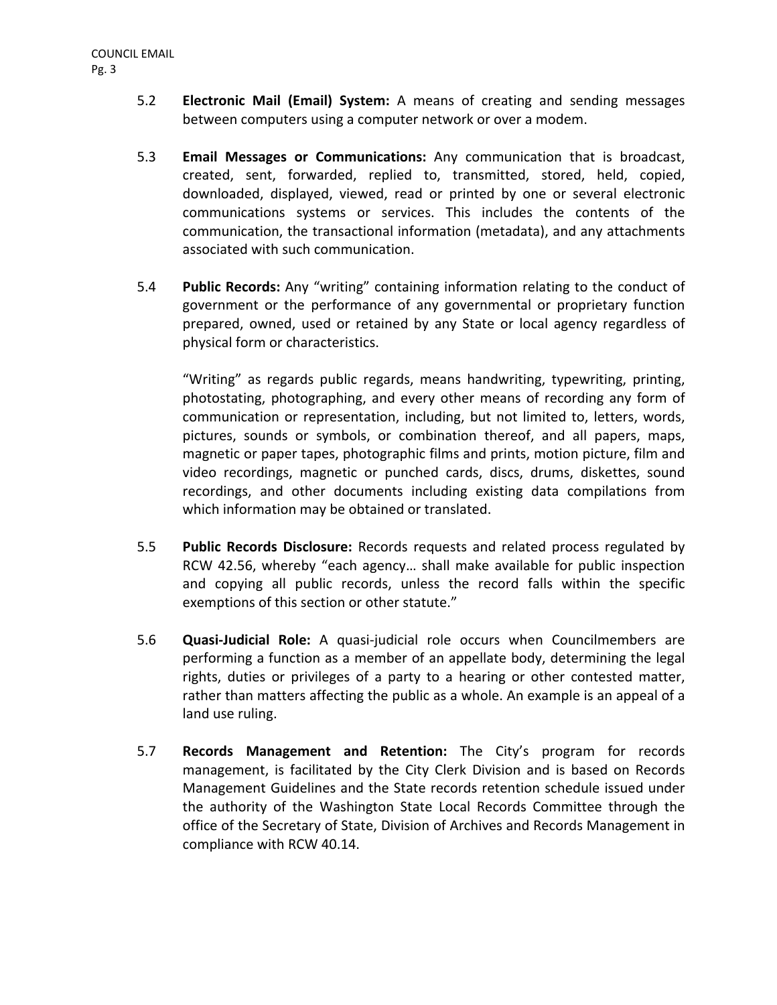- 5.2 **Electronic Mail (Email) System:** A means of creating and sending messages between computers using a computer network or over a modem.
- 5.3 **Email Messages or Communications:** Any communication that is broadcast, created, sent, forwarded, replied to, transmitted, stored, held, copied, downloaded, displayed, viewed, read or printed by one or several electronic communications systems or services. This includes the contents of the communication, the transactional information (metadata), and any attachments associated with such communication.
- 5.4 **Public Records:** Any "writing" containing information relating to the conduct of government or the performance of any governmental or proprietary function prepared, owned, used or retained by any State or local agency regardless of physical form or characteristics.

"Writing" as regards public regards, means handwriting, typewriting, printing, photostating, photographing, and every other means of recording any form of communication or representation, including, but not limited to, letters, words, pictures, sounds or symbols, or combination thereof, and all papers, maps, magnetic or paper tapes, photographic films and prints, motion picture, film and video recordings, magnetic or punched cards, discs, drums, diskettes, sound recordings, and other documents including existing data compilations from which information may be obtained or translated.

- 5.5 **Public Records Disclosure:** Records requests and related process regulated by RCW 42.56, whereby "each agency… shall make available for public inspection and copying all public records, unless the record falls within the specific exemptions of this section or other statute."
- 5.6 **Quasi‐Judicial Role:** A quasi‐judicial role occurs when Councilmembers are performing a function as a member of an appellate body, determining the legal rights, duties or privileges of a party to a hearing or other contested matter, rather than matters affecting the public as a whole. An example is an appeal of a land use ruling.
- 5.7 **Records Management and Retention:** The City's program for records management, is facilitated by the City Clerk Division and is based on Records Management Guidelines and the State records retention schedule issued under the authority of the Washington State Local Records Committee through the office of the Secretary of State, Division of Archives and Records Management in compliance with RCW 40.14.